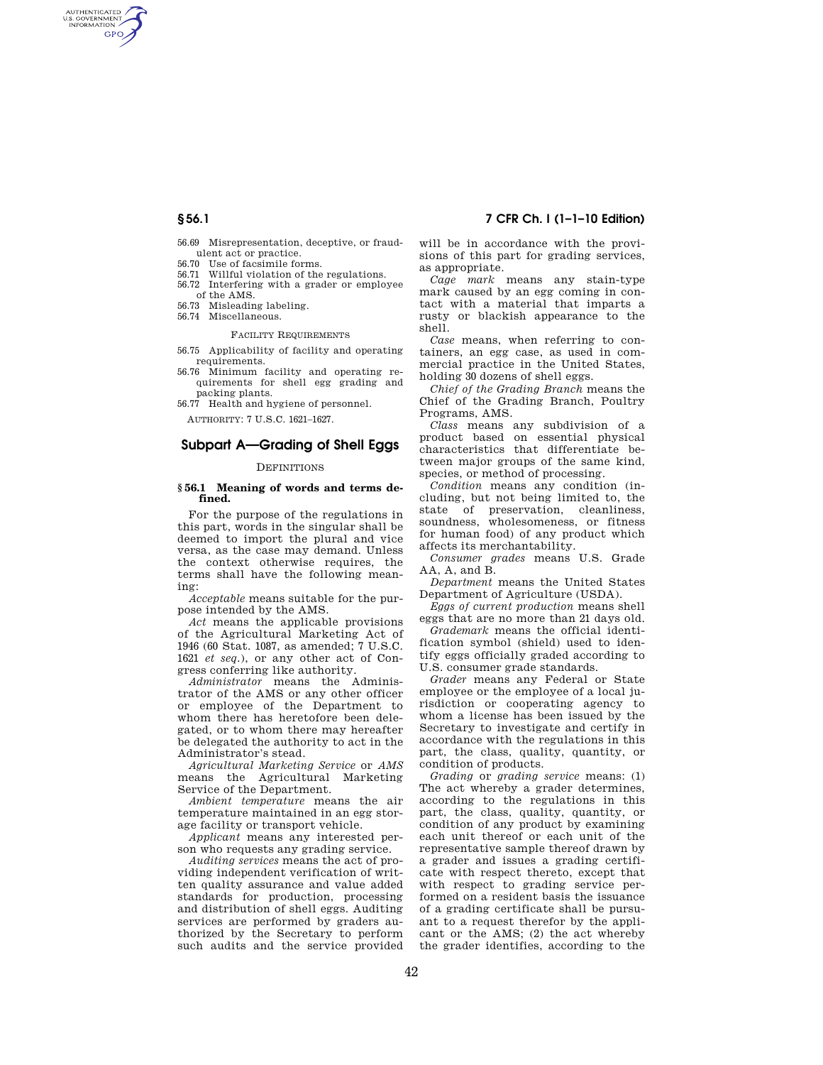AUTHENTICATED<br>U.S. GOVERNMENT<br>INFORMATION **GPO** 

> 56.69 Misrepresentation, deceptive, or fraudulent act or practice.

- 
- 56.70 Use of facsimile forms. 56.71 Willful violation of the regulations.
- 56.72 Interfering with a grader or employee of the AMS. 56.73 Misleading labeling.
- 56.74 Miscellaneous.
	-

# FACILITY REQUIREMENTS

56.75 Applicability of facility and operating requirements.

56.76 Minimum facility and operating requirements for shell egg grading and packing plants.

56.77 Health and hygiene of personnel.

AUTHORITY: 7 U.S.C. 1621–1627.

# **Subpart A—Grading of Shell Eggs**

## **DEFINITIONS**

### **§ 56.1 Meaning of words and terms defined.**

For the purpose of the regulations in this part, words in the singular shall be deemed to import the plural and vice versa, as the case may demand. Unless the context otherwise requires, the terms shall have the following meaning:

*Acceptable* means suitable for the purpose intended by the AMS.

*Act* means the applicable provisions of the Agricultural Marketing Act of 1946 (60 Stat. 1087, as amended; 7 U.S.C. 1621 *et seq.*), or any other act of Congress conferring like authority.

*Administrator* means the Administrator of the AMS or any other officer or employee of the Department to whom there has heretofore been delegated, or to whom there may hereafter be delegated the authority to act in the Administrator's stead.

*Agricultural Marketing Service* or *AMS*  means the Agricultural Marketing Service of the Department.

*Ambient temperature* means the air temperature maintained in an egg storage facility or transport vehicle.

*Applicant* means any interested person who requests any grading service.

*Auditing services* means the act of providing independent verification of written quality assurance and value added standards for production, processing and distribution of shell eggs. Auditing services are performed by graders authorized by the Secretary to perform such audits and the service provided

**§ 56.1 7 CFR Ch. I (1–1–10 Edition)** 

will be in accordance with the provisions of this part for grading services, as appropriate.

*Cage mark* means any stain-type mark caused by an egg coming in contact with a material that imparts a rusty or blackish appearance to the shell.

*Case* means, when referring to containers, an egg case, as used in commercial practice in the United States, holding 30 dozens of shell eggs.

*Chief of the Grading Branch* means the Chief of the Grading Branch, Poultry Programs, AMS.

*Class* means any subdivision of a product based on essential physical characteristics that differentiate between major groups of the same kind, species, or method of processing.

*Condition* means any condition (including, but not being limited to, the state of preservation, cleanliness, soundness, wholesomeness, or fitness for human food) of any product which affects its merchantability.

*Consumer grades* means U.S. Grade AA, A, and B.

*Department* means the United States Department of Agriculture (USDA).

*Eggs of current production* means shell eggs that are no more than 21 days old.

*Grademark* means the official identification symbol (shield) used to identify eggs officially graded according to U.S. consumer grade standards.

*Grader* means any Federal or State employee or the employee of a local jurisdiction or cooperating agency to whom a license has been issued by the Secretary to investigate and certify in accordance with the regulations in this part, the class, quality, quantity, or condition of products.

*Grading* or *grading service* means: (1) The act whereby a grader determines, according to the regulations in this part, the class, quality, quantity, or condition of any product by examining each unit thereof or each unit of the representative sample thereof drawn by a grader and issues a grading certificate with respect thereto, except that with respect to grading service performed on a resident basis the issuance of a grading certificate shall be pursuant to a request therefor by the applicant or the AMS; (2) the act whereby the grader identifies, according to the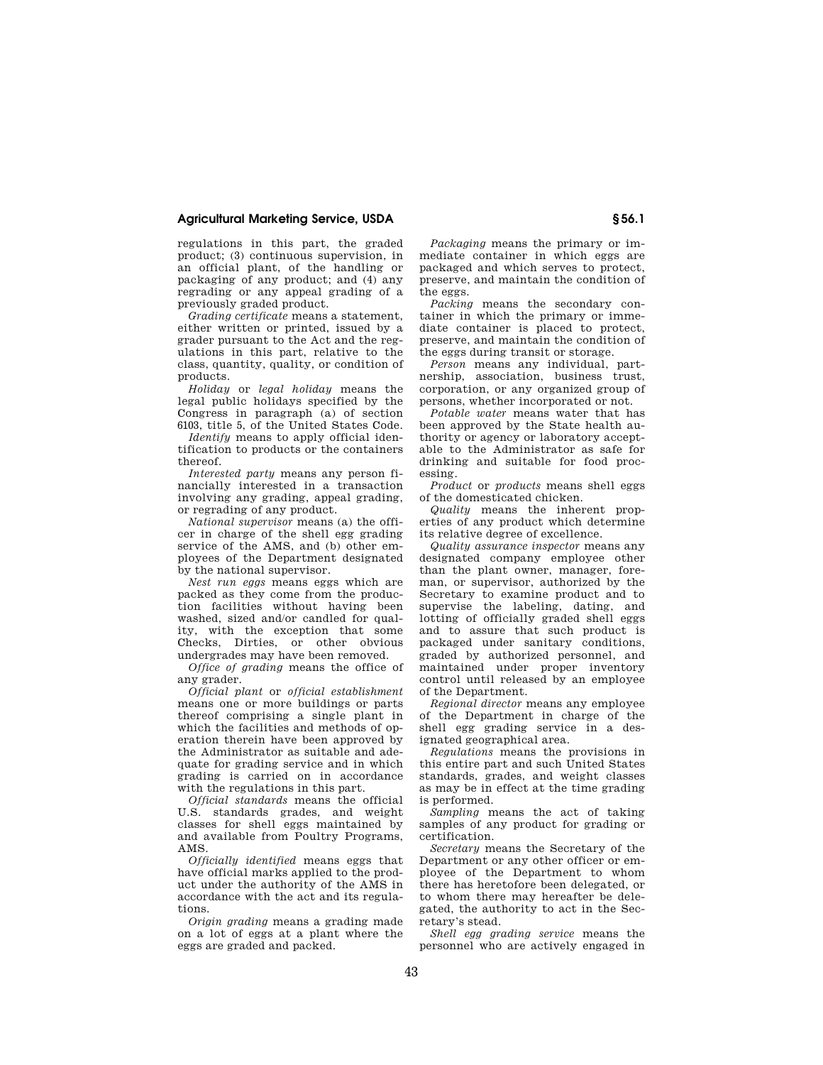# **Agricultural Marketing Service, USDA § 56.1**

regulations in this part, the graded product; (3) continuous supervision, in an official plant, of the handling or packaging of any product; and (4) any regrading or any appeal grading of a previously graded product.

*Grading certificate* means a statement, either written or printed, issued by a grader pursuant to the Act and the regulations in this part, relative to the class, quantity, quality, or condition of products.

*Holiday* or *legal holiday* means the legal public holidays specified by the Congress in paragraph (a) of section 6103, title 5, of the United States Code.

*Identify* means to apply official identification to products or the containers thereof.

*Interested party* means any person financially interested in a transaction involving any grading, appeal grading, or regrading of any product.

*National supervisor* means (a) the officer in charge of the shell egg grading service of the AMS, and (b) other employees of the Department designated by the national supervisor.

*Nest run eggs* means eggs which are packed as they come from the production facilities without having been washed, sized and/or candled for quality, with the exception that some Checks, Dirties, or other obvious undergrades may have been removed.

*Office of grading* means the office of any grader.

*Official plant* or *official establishment*  means one or more buildings or parts thereof comprising a single plant in which the facilities and methods of operation therein have been approved by the Administrator as suitable and adequate for grading service and in which grading is carried on in accordance with the regulations in this part.

*Official standards* means the official U.S. standards grades, and weight classes for shell eggs maintained by and available from Poultry Programs, AMS.

*Officially identified* means eggs that have official marks applied to the product under the authority of the AMS in accordance with the act and its regulations.

*Origin grading* means a grading made on a lot of eggs at a plant where the eggs are graded and packed.

*Packaging* means the primary or immediate container in which eggs are packaged and which serves to protect, preserve, and maintain the condition of the eggs.

*Packing* means the secondary container in which the primary or immediate container is placed to protect, preserve, and maintain the condition of the eggs during transit or storage.

*Person* means any individual, partnership, association, business trust, corporation, or any organized group of persons, whether incorporated or not.

*Potable water* means water that has been approved by the State health authority or agency or laboratory acceptable to the Administrator as safe for drinking and suitable for food processing.

*Product* or *products* means shell eggs of the domesticated chicken.

*Quality* means the inherent properties of any product which determine its relative degree of excellence.

*Quality assurance inspector* means any designated company employee other than the plant owner, manager, foreman, or supervisor, authorized by the Secretary to examine product and to supervise the labeling, dating, and lotting of officially graded shell eggs and to assure that such product is packaged under sanitary conditions, graded by authorized personnel, and maintained under proper inventory control until released by an employee of the Department.

*Regional director* means any employee of the Department in charge of the shell egg grading service in a designated geographical area.

*Regulations* means the provisions in this entire part and such United States standards, grades, and weight classes as may be in effect at the time grading is performed.

*Sampling* means the act of taking samples of any product for grading or certification.

*Secretary* means the Secretary of the Department or any other officer or employee of the Department to whom there has heretofore been delegated, or to whom there may hereafter be delegated, the authority to act in the Secretary's stead.

*Shell egg grading service* means the personnel who are actively engaged in